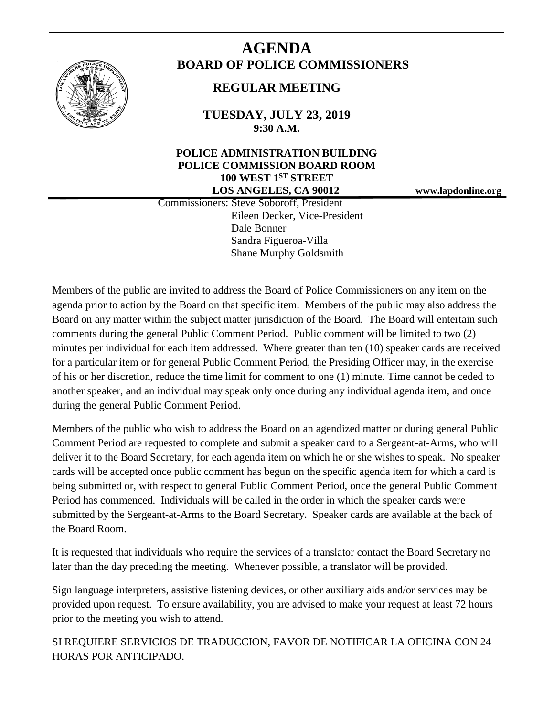

# **AGENDA BOARD OF POLICE COMMISSIONERS**

# **REGULAR MEETING**

**TUESDAY, JULY 23, 2019 9:30 A.M.**

# **POLICE ADMINISTRATION BUILDING POLICE COMMISSION BOARD ROOM 100 WEST 1ST STREET LOS ANGELES, CA 90012 www.lapdonline.org**

 Commissioners: Steve Soboroff, President Eileen Decker, Vice-President Dale Bonner Sandra Figueroa-Villa Shane Murphy Goldsmith

Members of the public are invited to address the Board of Police Commissioners on any item on the agenda prior to action by the Board on that specific item. Members of the public may also address the Board on any matter within the subject matter jurisdiction of the Board. The Board will entertain such comments during the general Public Comment Period. Public comment will be limited to two (2) minutes per individual for each item addressed. Where greater than ten (10) speaker cards are received for a particular item or for general Public Comment Period, the Presiding Officer may, in the exercise of his or her discretion, reduce the time limit for comment to one (1) minute. Time cannot be ceded to another speaker, and an individual may speak only once during any individual agenda item, and once during the general Public Comment Period.

Members of the public who wish to address the Board on an agendized matter or during general Public Comment Period are requested to complete and submit a speaker card to a Sergeant-at-Arms, who will deliver it to the Board Secretary, for each agenda item on which he or she wishes to speak. No speaker cards will be accepted once public comment has begun on the specific agenda item for which a card is being submitted or, with respect to general Public Comment Period, once the general Public Comment Period has commenced. Individuals will be called in the order in which the speaker cards were submitted by the Sergeant-at-Arms to the Board Secretary. Speaker cards are available at the back of the Board Room.

It is requested that individuals who require the services of a translator contact the Board Secretary no later than the day preceding the meeting. Whenever possible, a translator will be provided.

Sign language interpreters, assistive listening devices, or other auxiliary aids and/or services may be provided upon request. To ensure availability, you are advised to make your request at least 72 hours prior to the meeting you wish to attend.

SI REQUIERE SERVICIOS DE TRADUCCION, FAVOR DE NOTIFICAR LA OFICINA CON 24 HORAS POR ANTICIPADO.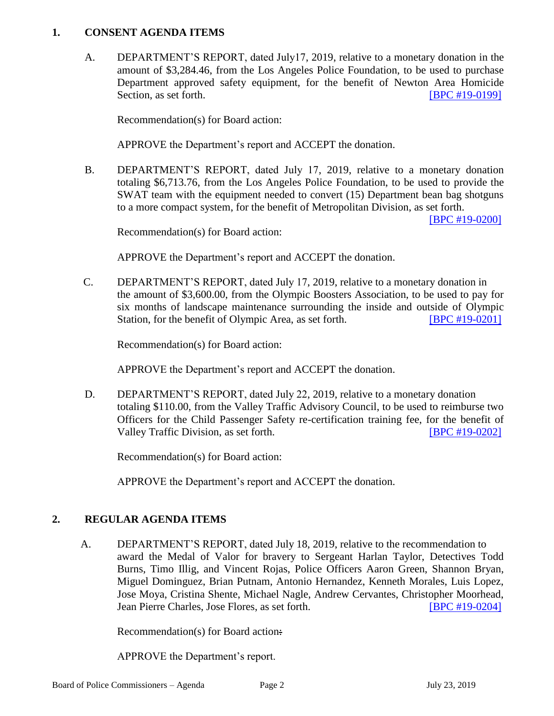#### **1. CONSENT AGENDA ITEMS**

A. DEPARTMENT'S REPORT, dated July17, 2019, relative to a monetary donation in the amount of \$3,284.46, from the Los Angeles Police Foundation, to be used to purchase Department approved safety equipment, for the benefit of Newton Area Homicide Section, as set forth. **[\[BPC #19-0199\]](http://www.lapdpolicecom.lacity.org/072319/BPC_19-0199.pdf)** 

Recommendation(s) for Board action:

APPROVE the Department's report and ACCEPT the donation.

B. DEPARTMENT'S REPORT, dated July 17, 2019, relative to a monetary donation totaling \$6,713.76, from the Los Angeles Police Foundation, to be used to provide the SWAT team with the equipment needed to convert (15) Department bean bag shotguns to a more compact system, for the benefit of Metropolitan Division, as set forth.

[\[BPC #19-0200\]](http://www.lapdpolicecom.lacity.org/072319/BPC_19-0200.pdf)

Recommendation(s) for Board action:

APPROVE the Department's report and ACCEPT the donation.

C. DEPARTMENT'S REPORT, dated July 17, 2019, relative to a monetary donation in the amount of \$3,600.00, from the Olympic Boosters Association, to be used to pay for six months of landscape maintenance surrounding the inside and outside of Olympic Station, for the benefit of Olympic Area, as set forth. **[\[BPC #19-0201\]](http://www.lapdpolicecom.lacity.org/072319/BPC_19-0201.pdf)** 

Recommendation(s) for Board action:

APPROVE the Department's report and ACCEPT the donation.

D. DEPARTMENT'S REPORT, dated July 22, 2019, relative to a monetary donation totaling \$110.00, from the Valley Traffic Advisory Council, to be used to reimburse two Officers for the Child Passenger Safety re-certification training fee, for the benefit of Valley Traffic Division, as set forth. [\[BPC #19-0202\]](http://www.lapdpolicecom.lacity.org/072319/BPC_19-0202.pdf)

Recommendation(s) for Board action:

APPROVE the Department's report and ACCEPT the donation.

#### **2. REGULAR AGENDA ITEMS**

A. DEPARTMENT'S REPORT, dated July 18, 2019, relative to the recommendation to award the Medal of Valor for bravery to Sergeant Harlan Taylor, Detectives Todd Burns, Timo Illig, and Vincent Rojas, Police Officers Aaron Green, Shannon Bryan, Miguel Dominguez, Brian Putnam, Antonio Hernandez, Kenneth Morales, Luis Lopez, Jose Moya, Cristina Shente, Michael Nagle, Andrew Cervantes, Christopher Moorhead, Jean Pierre Charles, Jose Flores, as set forth. [\[BPC #19-0204\]](http://www.lapdpolicecom.lacity.org/072319/BPC_19-0204.pdf)

Recommendation(s) for Board action:

APPROVE the Department's report.